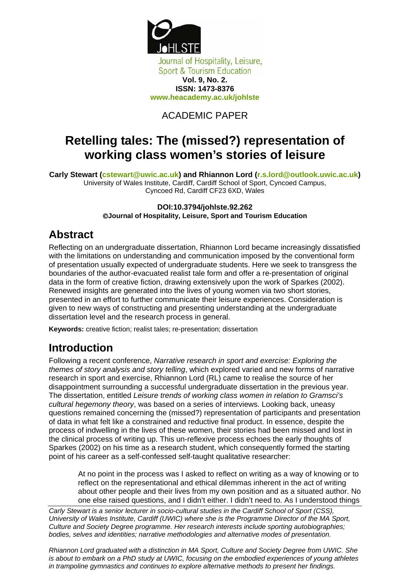

### ACADEMIC PAPER

# **Retelling tales: The (missed?) representation of working class women's stories of leisure**

**Carly Stewart (cstewart@uwic.ac.uk) and Rhiannon Lord (r.s.lord@outlook.uwic.ac.uk)**  University of Wales Institute, Cardiff, Cardiff School of Sport, Cyncoed Campus, Cyncoed Rd, Cardiff CF23 6XD, Wales

> **DOI:10.3794/johlste.92.262**  ©**Journal of Hospitality, Leisure, Sport and Tourism Education**

### **Abstract**

Reflecting on an undergraduate dissertation, Rhiannon Lord became increasingly dissatisfied with the limitations on understanding and communication imposed by the conventional form of presentation usually expected of undergraduate students. Here we seek to transgress the boundaries of the author-evacuated realist tale form and offer a re-presentation of original data in the form of creative fiction, drawing extensively upon the work of Sparkes (2002). Renewed insights are generated into the lives of young women via two short stories, presented in an effort to further communicate their leisure experiences. Consideration is given to new ways of constructing and presenting understanding at the undergraduate dissertation level and the research process in general.

**Keywords:** creative fiction; realist tales; re-presentation; dissertation

# **Introduction**

Following a recent conference, *Narrative research in sport and exercise: Exploring the themes of story analysis and story telling*, which explored varied and new forms of narrative research in sport and exercise, Rhiannon Lord (RL) came to realise the source of her disappointment surrounding a successful undergraduate dissertation in the previous year. The dissertation, entitled *Leisure trends of working class women in relation to Gramsci's cultural hegemony theory*, was based on a series of interviews. Looking back, uneasy questions remained concerning the (missed?) representation of participants and presentation of data in what felt like a constrained and reductive final product. In essence, despite the process of indwelling in the lives of these women, their stories had been missed and lost in the clinical process of writing up. This un-reflexive process echoes the early thoughts of Sparkes (2002) on his time as a research student, which consequently formed the starting point of his career as a self-confessed self-taught qualitative researcher:

At no point in the process was I asked to reflect on writing as a way of knowing or to reflect on the representational and ethical dilemmas inherent in the act of writing about other people and their lives from my own position and as a situated author. No one else raised questions, and I didn't either. I didn't need to. As I understood things

*Carly Stewart is a senior lecturer in socio-cultural studies in the Cardiff School of Sport (CSS), University of Wales Institute, Cardiff (UWIC) where she is the Programme Director of the MA Sport, Culture and Society Degree programme. Her research interests include sporting autobiographies; bodies, selves and identities; narrative methodologies and alternative modes of presentation.* 

*Rhiannon Lord graduated with a distinction in MA Sport, Culture and Society Degree from UWIC. She is about to embark on a PhD study at UWIC, focusing on the embodied experiences of young athletes in trampoline gymnastics and continues to explore alternative methods to present her findings.*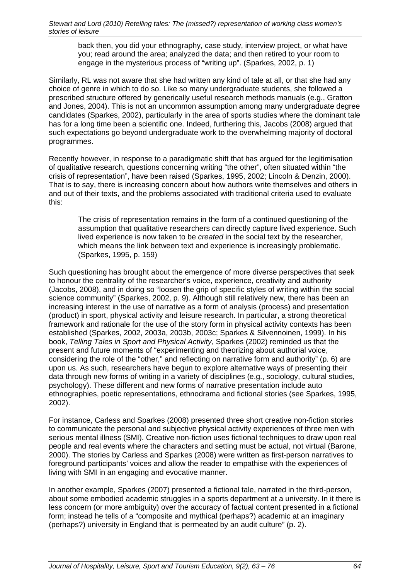back then, you did your ethnography, case study, interview project, or what have you; read around the area; analyzed the data; and then retired to your room to engage in the mysterious process of "writing up". (Sparkes, 2002, p. 1)

Similarly, RL was not aware that she had written any kind of tale at all, or that she had any choice of genre in which to do so. Like so many undergraduate students, she followed a prescribed structure offered by generically useful research methods manuals (e.g., Gratton and Jones, 2004). This is not an uncommon assumption among many undergraduate degree candidates (Sparkes, 2002), particularly in the area of sports studies where the dominant tale has for a long time been a scientific one. Indeed, furthering this, Jacobs (2008) argued that such expectations go beyond undergraduate work to the overwhelming majority of doctoral programmes.

Recently however, in response to a paradigmatic shift that has argued for the legitimisation of qualitative research, questions concerning writing "the other", often situated within "the crisis of representation", have been raised (Sparkes, 1995, 2002; Lincoln & Denzin, 2000). That is to say, there is increasing concern about how authors write themselves and others in and out of their texts, and the problems associated with traditional criteria used to evaluate this:

The crisis of representation remains in the form of a continued questioning of the assumption that qualitative researchers can directly capture lived experience. Such lived experience is now taken to be *created* in the social text by the researcher, which means the link between text and experience is increasingly problematic. (Sparkes, 1995, p. 159)

Such questioning has brought about the emergence of more diverse perspectives that seek to honour the centrality of the researcher's voice, experience, creativity and authority (Jacobs, 2008), and in doing so "loosen the grip of specific styles of writing within the social science community" (Sparkes, 2002, p. 9). Although still relatively new, there has been an increasing interest in the use of narrative as a form of analysis (process) and presentation (product) in sport, physical activity and leisure research. In particular, a strong theoretical framework and rationale for the use of the story form in physical activity contexts has been established (Sparkes, 2002, 2003a, 2003b, 2003c; Sparkes & Silvennoinen, 1999). In his book, *Telling Tales in Sport and Physical Activity*, Sparkes (2002) reminded us that the present and future moments of "experimenting and theorizing about authorial voice, considering the role of the "other," and reflecting on narrative form and authority" (p. 6) are upon us. As such, researchers have begun to explore alternative ways of presenting their data through new forms of writing in a variety of disciplines (e.g., sociology, cultural studies, psychology). These different and new forms of narrative presentation include auto ethnographies, poetic representations, ethnodrama and fictional stories (see Sparkes, 1995, 2002).

For instance, Carless and Sparkes (2008) presented three short creative non-fiction stories to communicate the personal and subjective physical activity experiences of three men with serious mental illness (SMI). Creative non-fiction uses fictional techniques to draw upon real people and real events where the characters and setting must be actual, not virtual (Barone, 2000). The stories by Carless and Sparkes (2008) were written as first-person narratives to foreground participants' voices and allow the reader to empathise with the experiences of living with SMI in an engaging and evocative manner.

In another example, Sparkes (2007) presented a fictional tale, narrated in the third-person, about some embodied academic struggles in a sports department at a university. In it there is less concern (or more ambiguity) over the accuracy of factual content presented in a fictional form; instead he tells of a "composite and mythical (perhaps?) academic at an imaginary (perhaps?) university in England that is permeated by an audit culture" (p. 2).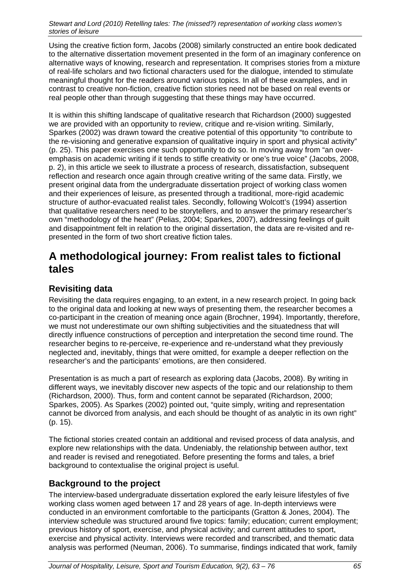Using the creative fiction form, Jacobs (2008) similarly constructed an entire book dedicated to the alternative dissertation movement presented in the form of an imaginary conference on alternative ways of knowing, research and representation. It comprises stories from a mixture of real-life scholars and two fictional characters used for the dialogue, intended to stimulate meaningful thought for the readers around various topics. In all of these examples, and in contrast to creative non-fiction, creative fiction stories need not be based on real events or real people other than through suggesting that these things may have occurred.

It is within this shifting landscape of qualitative research that Richardson (2000) suggested we are provided with an opportunity to review, critique and re-vision writing. Similarly, Sparkes (2002) was drawn toward the creative potential of this opportunity "to contribute to the re-visioning and generative expansion of qualitative inquiry in sport and physical activity" (p. 25). This paper exercises one such opportunity to do so. In moving away from "an overemphasis on academic writing if it tends to stifle creativity or one's true voice" (Jacobs, 2008, p. 2), in this article we seek to illustrate a process of research, dissatisfaction, subsequent reflection and research once again through creative writing of the same data. Firstly, we present original data from the undergraduate dissertation project of working class women and their experiences of leisure, as presented through a traditional, more-rigid academic structure of author-evacuated realist tales. Secondly, following Wolcott's (1994) assertion that qualitative researchers need to be storytellers, and to answer the primary researcher's own "methodology of the heart" (Pelias, 2004; Sparkes, 2007), addressing feelings of guilt and disappointment felt in relation to the original dissertation, the data are re-visited and represented in the form of two short creative fiction tales.

## **A methodological journey: From realist tales to fictional tales**

### **Revisiting data**

Revisiting the data requires engaging, to an extent, in a new research project. In going back to the original data and looking at new ways of presenting them, the researcher becomes a co-participant in the creation of meaning once again (Brochner, 1994). Importantly, therefore, we must not underestimate our own shifting subjectivities and the situatedness that will directly influence constructions of perception and interpretation the second time round. The researcher begins to re-perceive, re-experience and re-understand what they previously neglected and, inevitably, things that were omitted, for example a deeper reflection on the researcher's and the participants' emotions, are then considered.

Presentation is as much a part of research as exploring data (Jacobs, 2008). By writing in different ways, we inevitably discover new aspects of the topic and our relationship to them (Richardson, 2000). Thus, form and content cannot be separated (Richardson, 2000; Sparkes, 2005). As Sparkes (2002) pointed out, "quite simply, writing and representation cannot be divorced from analysis, and each should be thought of as analytic in its own right" (p. 15).

The fictional stories created contain an additional and revised process of data analysis, and explore new relationships with the data. Undeniably, the relationship between author, text and reader is revised and renegotiated. Before presenting the forms and tales, a brief background to contextualise the original project is useful.

#### **Background to the project**

The interview-based undergraduate dissertation explored the early leisure lifestyles of five working class women aged between 17 and 28 years of age. In-depth interviews were conducted in an environment comfortable to the participants (Gratton & Jones, 2004). The interview schedule was structured around five topics: family; education; current employment; previous history of sport, exercise, and physical activity; and current attitudes to sport, exercise and physical activity. Interviews were recorded and transcribed, and thematic data analysis was performed (Neuman, 2006). To summarise, findings indicated that work, family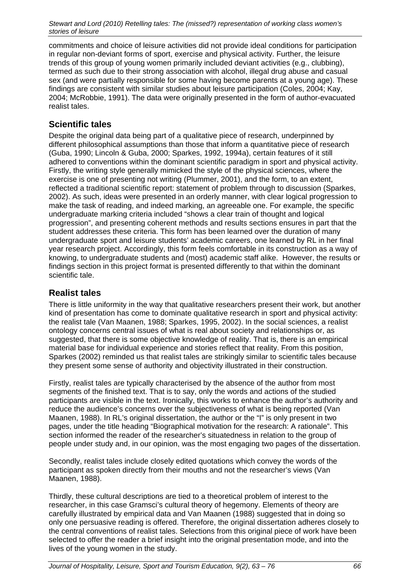commitments and choice of leisure activities did not provide ideal conditions for participation in regular non-deviant forms of sport, exercise and physical activity. Further, the leisure trends of this group of young women primarily included deviant activities (e.g., clubbing), termed as such due to their strong association with alcohol, illegal drug abuse and casual sex (and were partially responsible for some having become parents at a young age). These findings are consistent with similar studies about leisure participation (Coles, 2004; Kay, 2004; McRobbie, 1991). The data were originally presented in the form of author-evacuated realist tales.

### **Scientific tales**

Despite the original data being part of a qualitative piece of research, underpinned by different philosophical assumptions than those that inform a quantitative piece of research (Guba, 1990; Lincoln & Guba, 2000; Sparkes, 1992, 1994a), certain features of it still adhered to conventions within the dominant scientific paradigm in sport and physical activity. Firstly, the writing style generally mimicked the style of the physical sciences, where the exercise is one of presenting not writing (Plummer, 2001), and the form, to an extent, reflected a traditional scientific report: statement of problem through to discussion (Sparkes, 2002). As such, ideas were presented in an orderly manner, with clear logical progression to make the task of reading, and indeed marking, an agreeable one. For example, the specific undergraduate marking criteria included "shows a clear train of thought and logical progression", and presenting coherent methods and results sections ensures in part that the student addresses these criteria. This form has been learned over the duration of many undergraduate sport and leisure students' academic careers, one learned by RL in her final year research project. Accordingly, this form feels comfortable in its construction as a way of knowing, to undergraduate students and (most) academic staff alike. However, the results or findings section in this project format is presented differently to that within the dominant scientific tale.

### **Realist tales**

There is little uniformity in the way that qualitative researchers present their work, but another kind of presentation has come to dominate qualitative research in sport and physical activity: the realist tale (Van Maanen, 1988; Sparkes, 1995, 2002). In the social sciences, a realist ontology concerns central issues of what is real about society and relationships or, as suggested, that there is some objective knowledge of reality. That is, there is an empirical material base for individual experience and stories reflect that reality. From this position, Sparkes (2002) reminded us that realist tales are strikingly similar to scientific tales because they present some sense of authority and objectivity illustrated in their construction.

Firstly, realist tales are typically characterised by the absence of the author from most segments of the finished text. That is to say, only the words and actions of the studied participants are visible in the text. Ironically, this works to enhance the author's authority and reduce the audience's concerns over the subjectiveness of what is being reported (Van Maanen, 1988). In RL's original dissertation, the author or the "I" is only present in two pages, under the title heading "Biographical motivation for the research: A rationale". This section informed the reader of the researcher's situatedness in relation to the group of people under study and, in our opinion, was the most engaging two pages of the dissertation.

Secondly, realist tales include closely edited quotations which convey the words of the participant as spoken directly from their mouths and not the researcher's views (Van Maanen, 1988).

Thirdly, these cultural descriptions are tied to a theoretical problem of interest to the researcher, in this case Gramsci's cultural theory of hegemony. Elements of theory are carefully illustrated by empirical data and Van Maanen (1988) suggested that in doing so only one persuasive reading is offered. Therefore, the original dissertation adheres closely to the central conventions of realist tales. Selections from this original piece of work have been selected to offer the reader a brief insight into the original presentation mode, and into the lives of the young women in the study.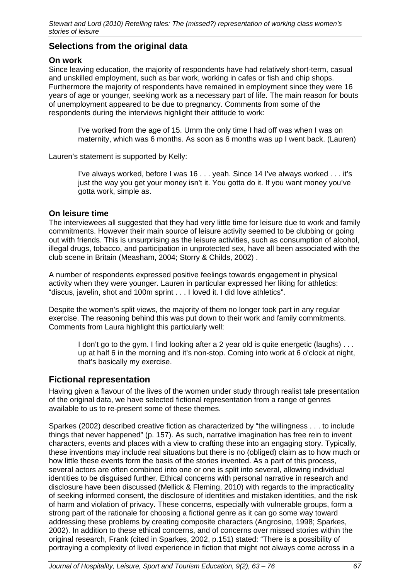#### **Selections from the original data**

#### **On work**

Since leaving education, the majority of respondents have had relatively short-term, casual and unskilled employment, such as bar work, working in cafes or fish and chip shops. Furthermore the majority of respondents have remained in employment since they were 16 years of age or younger, seeking work as a necessary part of life. The main reason for bouts of unemployment appeared to be due to pregnancy. Comments from some of the respondents during the interviews highlight their attitude to work:

I've worked from the age of 15. Umm the only time I had off was when I was on maternity, which was 6 months. As soon as 6 months was up I went back. (Lauren)

Lauren's statement is supported by Kelly:

I've always worked, before I was 16 . . . yeah. Since 14 I've always worked . . . it's just the way you get your money isn't it. You gotta do it. If you want money you've gotta work, simple as.

#### **On leisure time**

The interviewees all suggested that they had very little time for leisure due to work and family commitments. However their main source of leisure activity seemed to be clubbing or going out with friends. This is unsurprising as the leisure activities, such as consumption of alcohol, illegal drugs, tobacco, and participation in unprotected sex, have all been associated with the club scene in Britain (Measham, 2004; Storry & Childs, 2002) .

A number of respondents expressed positive feelings towards engagement in physical activity when they were younger. Lauren in particular expressed her liking for athletics: "discus, javelin, shot and 100m sprint . . . I loved it. I did love athletics".

Despite the women's split views, the majority of them no longer took part in any regular exercise. The reasoning behind this was put down to their work and family commitments. Comments from Laura highlight this particularly well:

I don't go to the gym. I find looking after a 2 year old is quite energetic (laughs) . . . up at half 6 in the morning and it's non-stop. Coming into work at 6 o'clock at night, that's basically my exercise.

#### **Fictional representation**

Having given a flavour of the lives of the women under study through realist tale presentation of the original data, we have selected fictional representation from a range of genres available to us to re-present some of these themes.

Sparkes (2002) described creative fiction as characterized by "the willingness . . . to include things that never happened" (p. 157). As such, narrative imagination has free rein to invent characters, events and places with a view to crafting these into an engaging story. Typically, these inventions may include real situations but there is no (obliged) claim as to how much or how little these events form the basis of the stories invented. As a part of this process, several actors are often combined into one or one is split into several, allowing individual identities to be disguised further. Ethical concerns with personal narrative in research and disclosure have been discussed (Mellick & Fleming, 2010) with regards to the impracticality of seeking informed consent, the disclosure of identities and mistaken identities, and the risk of harm and violation of privacy. These concerns, especially with vulnerable groups, form a strong part of the rationale for choosing a fictional genre as it can go some way toward addressing these problems by creating composite characters (Angrosino, 1998; Sparkes, 2002). In addition to these ethical concerns, and of concerns over missed stories within the original research, Frank (cited in Sparkes, 2002, p.151) stated: "There is a possibility of portraying a complexity of lived experience in fiction that might not always come across in a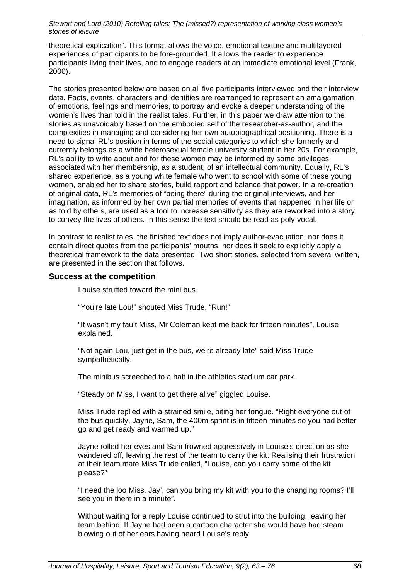theoretical explication". This format allows the voice, emotional texture and multilayered experiences of participants to be fore-grounded. It allows the reader to experience participants living their lives, and to engage readers at an immediate emotional level (Frank, 2000).

The stories presented below are based on all five participants interviewed and their interview data. Facts, events, characters and identities are rearranged to represent an amalgamation of emotions, feelings and memories, to portray and evoke a deeper understanding of the women's lives than told in the realist tales. Further, in this paper we draw attention to the stories as unavoidably based on the embodied self of the researcher-as-author, and the complexities in managing and considering her own autobiographical positioning. There is a need to signal RL's position in terms of the social categories to which she formerly and currently belongs as a white heterosexual female university student in her 20s. For example, RL's ability to write about and for these women may be informed by some privileges associated with her membership, as a student, of an intellectual community. Equally, RL's shared experience, as a young white female who went to school with some of these young women, enabled her to share stories, build rapport and balance that power. In a re-creation of original data, RL's memories of "being there" during the original interviews, and her imagination, as informed by her own partial memories of events that happened in her life or as told by others, are used as a tool to increase sensitivity as they are reworked into a story to convey the lives of others. In this sense the text should be read as poly-vocal.

In contrast to realist tales, the finished text does not imply author-evacuation, nor does it contain direct quotes from the participants' mouths, nor does it seek to explicitly apply a theoretical framework to the data presented. Two short stories, selected from several written, are presented in the section that follows.

#### **Success at the competition**

Louise strutted toward the mini bus.

"You're late Lou!" shouted Miss Trude, "Run!"

"It wasn't my fault Miss, Mr Coleman kept me back for fifteen minutes", Louise explained.

"Not again Lou, just get in the bus, we're already late" said Miss Trude sympathetically.

The minibus screeched to a halt in the athletics stadium car park.

"Steady on Miss, I want to get there alive" giggled Louise.

Miss Trude replied with a strained smile, biting her tongue. "Right everyone out of the bus quickly, Jayne, Sam, the 400m sprint is in fifteen minutes so you had better go and get ready and warmed up."

Jayne rolled her eyes and Sam frowned aggressively in Louise's direction as she wandered off, leaving the rest of the team to carry the kit. Realising their frustration at their team mate Miss Trude called, "Louise, can you carry some of the kit please?"

"I need the loo Miss. Jay', can you bring my kit with you to the changing rooms? I'll see you in there in a minute".

Without waiting for a reply Louise continued to strut into the building, leaving her team behind. If Jayne had been a cartoon character she would have had steam blowing out of her ears having heard Louise's reply.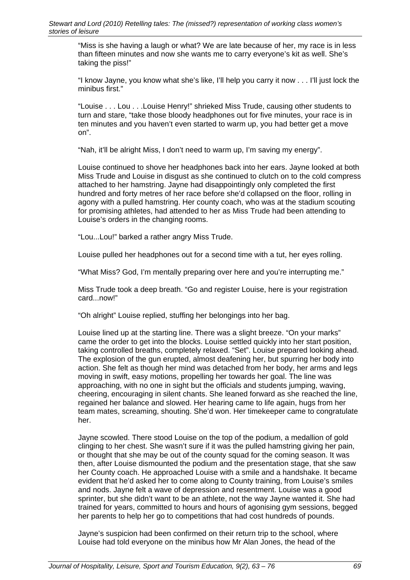"Miss is she having a laugh or what? We are late because of her, my race is in less than fifteen minutes and now she wants me to carry everyone's kit as well. She's taking the piss!"

"I know Jayne, you know what she's like, I'll help you carry it now . . . I'll just lock the minibus first."

"Louise . . . Lou . . .Louise Henry!" shrieked Miss Trude, causing other students to turn and stare, "take those bloody headphones out for five minutes, your race is in ten minutes and you haven't even started to warm up, you had better get a move on".

"Nah, it'll be alright Miss, I don't need to warm up, I'm saving my energy".

Louise continued to shove her headphones back into her ears. Jayne looked at both Miss Trude and Louise in disgust as she continued to clutch on to the cold compress attached to her hamstring. Jayne had disappointingly only completed the first hundred and forty metres of her race before she'd collapsed on the floor, rolling in agony with a pulled hamstring. Her county coach, who was at the stadium scouting for promising athletes, had attended to her as Miss Trude had been attending to Louise's orders in the changing rooms.

"Lou...Lou!" barked a rather angry Miss Trude.

Louise pulled her headphones out for a second time with a tut, her eyes rolling.

"What Miss? God, I'm mentally preparing over here and you're interrupting me."

Miss Trude took a deep breath. "Go and register Louise, here is your registration card...now!"

"Oh alright" Louise replied, stuffing her belongings into her bag.

Louise lined up at the starting line. There was a slight breeze. "On your marks" came the order to get into the blocks. Louise settled quickly into her start position, taking controlled breaths, completely relaxed. "Set". Louise prepared looking ahead. The explosion of the gun erupted, almost deafening her, but spurring her body into action. She felt as though her mind was detached from her body, her arms and legs moving in swift, easy motions, propelling her towards her goal. The line was approaching, with no one in sight but the officials and students jumping, waving, cheering, encouraging in silent chants. She leaned forward as she reached the line, regained her balance and slowed. Her hearing came to life again, hugs from her team mates, screaming, shouting. She'd won. Her timekeeper came to congratulate her.

Jayne scowled. There stood Louise on the top of the podium, a medallion of gold clinging to her chest. She wasn't sure if it was the pulled hamstring giving her pain, or thought that she may be out of the county squad for the coming season. It was then, after Louise dismounted the podium and the presentation stage, that she saw her County coach. He approached Louise with a smile and a handshake. It became evident that he'd asked her to come along to County training, from Louise's smiles and nods. Jayne felt a wave of depression and resentment. Louise was a good sprinter, but she didn't want to be an athlete, not the way Jayne wanted it. She had trained for years, committed to hours and hours of agonising gym sessions, begged her parents to help her go to competitions that had cost hundreds of pounds.

Jayne's suspicion had been confirmed on their return trip to the school, where Louise had told everyone on the minibus how Mr Alan Jones, the head of the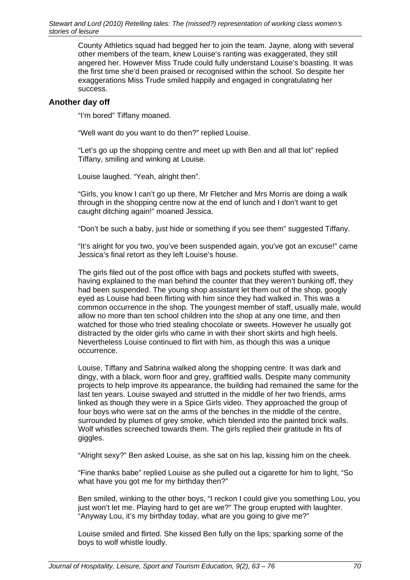County Athletics squad had begged her to join the team. Jayne, along with several other members of the team, knew Louise's ranting was exaggerated, they still angered her. However Miss Trude could fully understand Louise's boasting. It was the first time she'd been praised or recognised within the school. So despite her exaggerations Miss Trude smiled happily and engaged in congratulating her success.

#### **Another day off**

"I'm bored" Tiffany moaned.

"Well want do you want to do then?" replied Louise.

"Let's go up the shopping centre and meet up with Ben and all that lot" replied Tiffany, smiling and winking at Louise.

Louise laughed. "Yeah, alright then".

"Girls, you know I can't go up there, Mr Fletcher and Mrs Morris are doing a walk through in the shopping centre now at the end of lunch and I don't want to get caught ditching again!" moaned Jessica.

"Don't be such a baby, just hide or something if you see them" suggested Tiffany.

"It's alright for you two, you've been suspended again, you've got an excuse!" came Jessica's final retort as they left Louise's house.

The girls filed out of the post office with bags and pockets stuffed with sweets, having explained to the man behind the counter that they weren't bunking off, they had been suspended. The young shop assistant let them out of the shop, googly eyed as Louise had been flirting with him since they had walked in. This was a common occurrence in the shop. The youngest member of staff, usually male, would allow no more than ten school children into the shop at any one time, and then watched for those who tried stealing chocolate or sweets. However he usually got distracted by the older girls who came in with their short skirts and high heels. Nevertheless Louise continued to flirt with him, as though this was a unique occurrence.

Louise, Tiffany and Sabrina walked along the shopping centre. It was dark and dingy, with a black, worn floor and grey, graffitied walls. Despite many community projects to help improve its appearance, the building had remained the same for the last ten years. Louise swayed and strutted in the middle of her two friends, arms linked as though they were in a Spice Girls video. They approached the group of four boys who were sat on the arms of the benches in the middle of the centre, surrounded by plumes of grey smoke, which blended into the painted brick walls. Wolf whistles screeched towards them. The girls replied their gratitude in fits of giggles.

"Alright sexy?" Ben asked Louise, as she sat on his lap, kissing him on the cheek.

"Fine thanks babe" replied Louise as she pulled out a cigarette for him to light, "So what have you got me for my birthday then?"

Ben smiled, winking to the other boys, "I reckon I could give you something Lou, you just won't let me. Playing hard to get are we?" The group erupted with laughter. "Anyway Lou, it's my birthday today, what are you going to give me?"

Louise smiled and flirted. She kissed Ben fully on the lips; sparking some of the boys to wolf whistle loudly.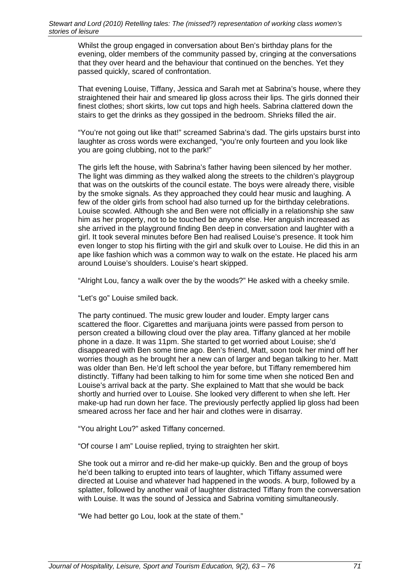Whilst the group engaged in conversation about Ben's birthday plans for the evening, older members of the community passed by, cringing at the conversations that they over heard and the behaviour that continued on the benches. Yet they passed quickly, scared of confrontation.

That evening Louise, Tiffany, Jessica and Sarah met at Sabrina's house, where they straightened their hair and smeared lip gloss across their lips. The girls donned their finest clothes; short skirts, low cut tops and high heels. Sabrina clattered down the stairs to get the drinks as they gossiped in the bedroom. Shrieks filled the air.

"You're not going out like that!" screamed Sabrina's dad. The girls upstairs burst into laughter as cross words were exchanged, "you're only fourteen and you look like you are going clubbing, not to the park!"

The girls left the house, with Sabrina's father having been silenced by her mother. The light was dimming as they walked along the streets to the children's playgroup that was on the outskirts of the council estate. The boys were already there, visible by the smoke signals. As they approached they could hear music and laughing. A few of the older girls from school had also turned up for the birthday celebrations. Louise scowled. Although she and Ben were not officially in a relationship she saw him as her property, not to be touched be anyone else. Her anguish increased as she arrived in the playground finding Ben deep in conversation and laughter with a girl. It took several minutes before Ben had realised Louise's presence. It took him even longer to stop his flirting with the girl and skulk over to Louise. He did this in an ape like fashion which was a common way to walk on the estate. He placed his arm around Louise's shoulders. Louise's heart skipped.

"Alright Lou, fancy a walk over the by the woods?" He asked with a cheeky smile.

"Let's go" Louise smiled back.

The party continued. The music grew louder and louder. Empty larger cans scattered the floor. Cigarettes and marijuana joints were passed from person to person created a billowing cloud over the play area. Tiffany glanced at her mobile phone in a daze. It was 11pm. She started to get worried about Louise; she'd disappeared with Ben some time ago. Ben's friend, Matt, soon took her mind off her worries though as he brought her a new can of larger and began talking to her. Matt was older than Ben. He'd left school the year before, but Tiffany remembered him distinctly. Tiffany had been talking to him for some time when she noticed Ben and Louise's arrival back at the party. She explained to Matt that she would be back shortly and hurried over to Louise. She looked very different to when she left. Her make-up had run down her face. The previously perfectly applied lip gloss had been smeared across her face and her hair and clothes were in disarray.

"You alright Lou?" asked Tiffany concerned.

"Of course I am" Louise replied, trying to straighten her skirt.

She took out a mirror and re-did her make-up quickly. Ben and the group of boys he'd been talking to erupted into tears of laughter, which Tiffany assumed were directed at Louise and whatever had happened in the woods. A burp, followed by a splatter, followed by another wail of laughter distracted Tiffany from the conversation with Louise. It was the sound of Jessica and Sabrina vomiting simultaneously.

"We had better go Lou, look at the state of them."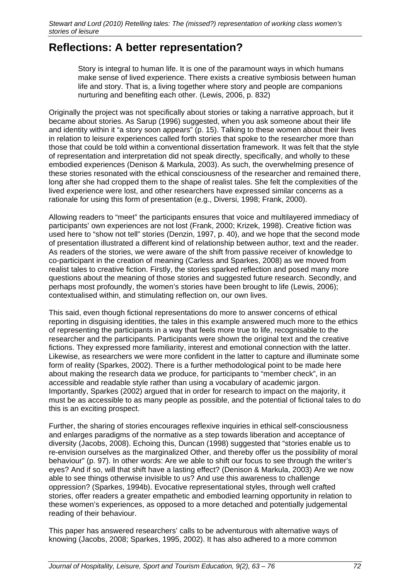# **Reflections: A better representation?**

Story is integral to human life. It is one of the paramount ways in which humans make sense of lived experience. There exists a creative symbiosis between human life and story. That is, a living together where story and people are companions nurturing and benefiting each other. (Lewis, 2006, p. 832)

Originally the project was not specifically about stories or taking a narrative approach, but it became about stories. As Sarup (1996) suggested, when you ask someone about their life and identity within it "a story soon appears" (p. 15). Talking to these women about their lives in relation to leisure experiences called forth stories that spoke to the researcher more than those that could be told within a conventional dissertation framework. It was felt that the style of representation and interpretation did not speak directly, specifically, and wholly to these embodied experiences (Denison & Markula, 2003). As such, the overwhelming presence of these stories resonated with the ethical consciousness of the researcher and remained there, long after she had cropped them to the shape of realist tales. She felt the complexities of the lived experience were lost, and other researchers have expressed similar concerns as a rationale for using this form of presentation (e.g., Diversi, 1998; Frank, 2000).

Allowing readers to "meet" the participants ensures that voice and multilayered immediacy of participants' own experiences are not lost (Frank, 2000; Krizek, 1998). Creative fiction was used here to "show not tell" stories (Denzin, 1997, p. 40), and we hope that the second mode of presentation illustrated a different kind of relationship between author, text and the reader. As readers of the stories, we were aware of the shift from passive receiver of knowledge to co-participant in the creation of meaning (Carless and Sparkes, 2008) as we moved from realist tales to creative fiction. Firstly, the stories sparked reflection and posed many more questions about the meaning of those stories and suggested future research. Secondly, and perhaps most profoundly, the women's stories have been brought to life (Lewis, 2006); contextualised within, and stimulating reflection on, our own lives.

This said, even though fictional representations do more to answer concerns of ethical reporting in disguising identities, the tales in this example answered much more to the ethics of representing the participants in a way that feels more true to life, recognisable to the researcher and the participants. Participants were shown the original text and the creative fictions. They expressed more familiarity, interest and emotional connection with the latter. Likewise, as researchers we were more confident in the latter to capture and illuminate some form of reality (Sparkes, 2002). There is a further methodological point to be made here about making the research data we produce, for participants to "member check", in an accessible and readable style rather than using a vocabulary of academic jargon. Importantly, Sparkes (2002) argued that in order for research to impact on the majority, it must be as accessible to as many people as possible, and the potential of fictional tales to do this is an exciting prospect.

Further, the sharing of stories encourages reflexive inquiries in ethical self-consciousness and enlarges paradigms of the normative as a step towards liberation and acceptance of diversity (Jacobs, 2008). Echoing this, Duncan (1998) suggested that "stories enable us to re-envision ourselves as the marginalized Other, and thereby offer us the possibility of moral behaviour" (p. 97). In other words: Are we able to shift our focus to see through the writer's eyes? And if so, will that shift have a lasting effect? (Denison & Markula, 2003) Are we now able to see things otherwise invisible to us? And use this awareness to challenge oppression? (Sparkes, 1994b). Evocative representational styles, through well crafted stories, offer readers a greater empathetic and embodied learning opportunity in relation to these women's experiences, as opposed to a more detached and potentially judgemental reading of their behaviour.

This paper has answered researchers' calls to be adventurous with alternative ways of knowing (Jacobs, 2008; Sparkes, 1995, 2002). It has also adhered to a more common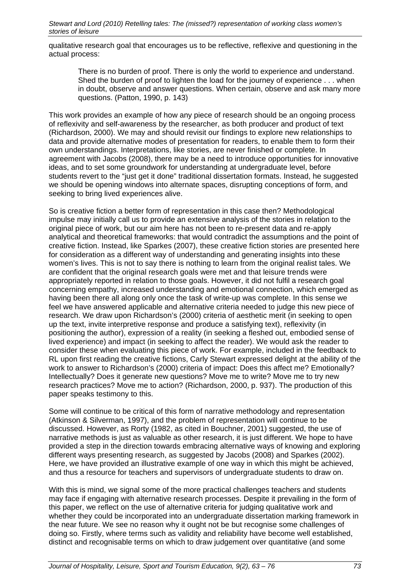qualitative research goal that encourages us to be reflective, reflexive and questioning in the actual process:

There is no burden of proof. There is only the world to experience and understand. Shed the burden of proof to lighten the load for the journey of experience . . . when in doubt, observe and answer questions. When certain, observe and ask many more questions. (Patton, 1990, p. 143)

This work provides an example of how any piece of research should be an ongoing process of reflexivity and self-awareness by the researcher, as both producer and product of text (Richardson, 2000). We may and should revisit our findings to explore new relationships to data and provide alternative modes of presentation for readers, to enable them to form their own understandings. Interpretations, like stories, are never finished or complete. In agreement with Jacobs (2008), there may be a need to introduce opportunities for innovative ideas, and to set some groundwork for understanding at undergraduate level, before students revert to the "just get it done" traditional dissertation formats. Instead, he suggested we should be opening windows into alternate spaces, disrupting conceptions of form, and seeking to bring lived experiences alive.

So is creative fiction a better form of representation in this case then? Methodological impulse may initially call us to provide an extensive analysis of the stories in relation to the original piece of work, but our aim here has not been to re-present data and re-apply analytical and theoretical frameworks: that would contradict the assumptions and the point of creative fiction. Instead, like Sparkes (2007), these creative fiction stories are presented here for consideration as a different way of understanding and generating insights into these women's lives. This is not to say there is nothing to learn from the original realist tales. We are confident that the original research goals were met and that leisure trends were appropriately reported in relation to those goals. However, it did not fulfil a research goal concerning empathy, increased understanding and emotional connection, which emerged as having been there all along only once the task of write-up was complete. In this sense we feel we have answered applicable and alternative criteria needed to judge this new piece of research. We draw upon Richardson's (2000) criteria of aesthetic merit (in seeking to open up the text, invite interpretive response and produce a satisfying text), reflexivity (in positioning the author), expression of a reality (in seeking a fleshed out, embodied sense of lived experience) and impact (in seeking to affect the reader). We would ask the reader to consider these when evaluating this piece of work. For example, included in the feedback to RL upon first reading the creative fictions, Carly Stewart expressed delight at the ability of the work to answer to Richardson's (2000) criteria of impact: Does this affect me? Emotionally? Intellectually? Does it generate new questions? Move me to write? Move me to try new research practices? Move me to action? (Richardson, 2000, p. 937). The production of this paper speaks testimony to this.

Some will continue to be critical of this form of narrative methodology and representation (Atkinson & Silverman, 1997), and the problem of representation will continue to be discussed. However, as Rorty (1982, as cited in Bouchner, 2001) suggested, the use of narrative methods is just as valuable as other research, it is just different. We hope to have provided a step in the direction towards embracing alternative ways of knowing and exploring different ways presenting research, as suggested by Jacobs (2008) and Sparkes (2002). Here, we have provided an illustrative example of one way in which this might be achieved, and thus a resource for teachers and supervisors of undergraduate students to draw on.

With this is mind, we signal some of the more practical challenges teachers and students may face if engaging with alternative research processes. Despite it prevailing in the form of this paper, we reflect on the use of alternative criteria for judging qualitative work and whether they could be incorporated into an undergraduate dissertation marking framework in the near future. We see no reason why it ought not be but recognise some challenges of doing so. Firstly, where terms such as validity and reliability have become well established, distinct and recognisable terms on which to draw judgement over quantitative (and some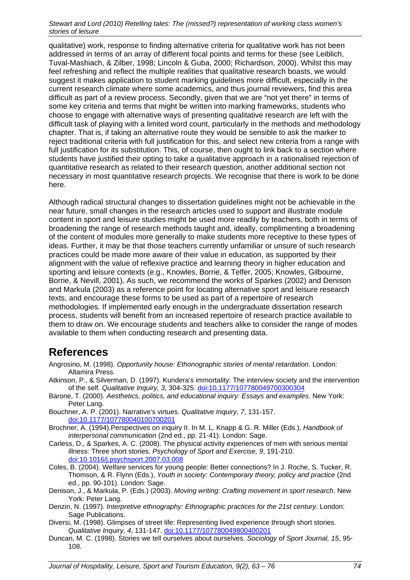qualitative) work, response to finding alternative criteria for qualitative work has not been addressed in terms of an array of different focal points and terms for these (see Leiblich, Tuval-Mashiach, & Zilber, 1998; Lincoln & Guba, 2000; Richardson, 2000). Whilst this may feel refreshing and reflect the multiple realities that qualitative research boasts, we would suggest it makes application to student marking guidelines more difficult, especially in the current research climate where some academics, and thus journal reviewers, find this area difficult as part of a review process. Secondly, given that we are "not yet there" in terms of some key criteria and terms that might be written into marking frameworks, students who choose to engage with alternative ways of presenting qualitative research are left with the difficult task of playing with a limited word count, particularly in the methods and methodology chapter. That is, if taking an alternative route they would be sensible to ask the marker to reject traditional criteria with full justification for this, and select new criteria from a range with full justification for its substitution. This, of course, then ought to link back to a section where students have justified their opting to take a qualitative approach in a rationalised rejection of quantitative research as related to their research question, another additional section not necessary in most quantitative research projects. We recognise that there is work to be done here.

Although radical structural changes to dissertation guidelines might not be achievable in the near future, small changes in the research articles used to support and illustrate module content in sport and leisure studies might be used more readily by teachers, both in terms of broadening the range of research methods taught and, ideally, complimenting a broadening of the content of modules more generally to make students more receptive to these types of ideas. Further, it may be that those teachers currently unfamiliar or unsure of such research practices could be made more aware of their value in education, as supported by their alignment with the value of reflexive practice and learning theory in higher education and sporting and leisure contexts (e.g., Knowles, Borrie, & Telfer, 2005; Knowles, Gilbourne, Borrie, & Nevill, 2001). As such, we recommend the works of Sparkes (2002) and Denison and Markula (2003) as a reference point for locating alternative sport and leisure research texts, and encourage these forms to be used as part of a repertoire of research methodologies. If implemented early enough in the undergraduate dissertation research process, students will benefit from an increased repertoire of research practice available to them to draw on. We encourage students and teachers alike to consider the range of modes available to them when conducting research and presenting data.

### **References**

- Angrosino, M. (1998). *Opportunity house: Ethonographic stories of mental retardation*. London: Altamira Press.
- Atkinson, P., & Silverman, D. (1997). Kundera's immortality: The interview society and the intervention of the self*. Qualitative Inquiry, 3,* 304-325. doi:10.1177/107780049700300304
- Barone, T. (2000). *Aesthetics, politics, and educational inquiry: Essays and examples.* New York: Peter Lang.
- Bouchner, A. P. (2001). Narrative's virtues. *Qualitative Inquiry*, *7*, 131-157. doi:10.1177/107780040100700201
- Brochner, A. (1994).Perspectives on inquiry II. In M. L. Knapp & G. R. Miller (Eds.), *Handbook of interpersonal communication* (2nd ed., pp. 21-41). London: Sage.
- Carless, D., & Sparkes, A. C. (2008). The physical activity experiences of men with serious mental illness: Three short stories. *Psychology of Sport and Exercise, 9*, 191-210. doi:10.1016/j.psychsport.2007.03.008
- Coles, B. (2004). Welfare services for young people: Better connections? In J. Roche, S. Tucker, R. Thomson, & R. Flynn (Eds.), *Youth in society: Contemporary theory, policy and practice* (2nd ed., pp. 90-101). London: Sage.
- Denison, J., & Markula, P. (Eds.) (2003). *Moving writing: Crafting movement in sport research*. New York: Peter Lang.
- Denzin, N. (1997). *Interpretive ethnography: Ethnographic practices for the 21st century*. London: Sage Publications.
- Diversi, M. (1998). Glimpses of street life: Representing lived experience through short stories. *Qualitative Inquiry, 4*, 131-147. doi:10.1177/107780049800400201
- Duncan, M. C. (1998). Stories we tell ourselves about ourselves. *Sociology of Sport Journal, 15*, 95- 108.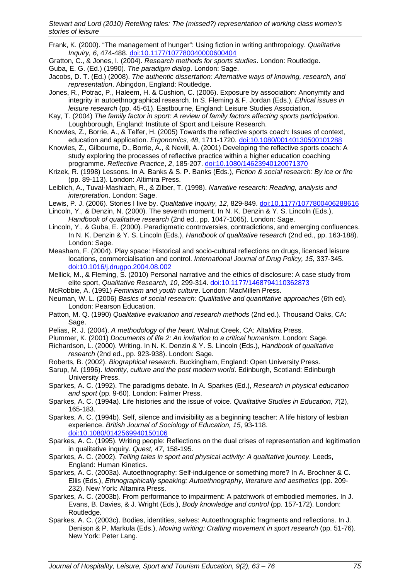- Frank, K. (2000). "The management of hunger": Using fiction in writing anthropology. *Qualitative Inquiry, 6*, 474-488. doi:10.1177/107780040000600404
- Gratton, C., & Jones, I. (2004). *Research methods for sports studies*. London: Routledge.
- Guba, E. G. (Ed.) (1990). *The paradigm dialog*. London: Sage.
- Jacobs, D. T. (Ed.) (2008). *The authentic dissertation: Alternative ways of knowing, research, and representation*. Abingdon, England: Routledge.
- Jones, R., Potrac, P., Haleem, H. & Cushion, C. (2006). Exposure by association: Anonymity and integrity in autoethnographical research. In S. Fleming & F. Jordan (Eds.), *Ethical issues in leisure research* (pp. 45-61). Eastbourne, England: Leisure Studies Association.
- Kay, T. (2004) *The family factor in sport: A review of family factors affecting sports participation.* Loughborough, England: Institute of Sport and Leisure Research.
- Knowles, Z., Borrie, A., & Telfer, H. (2005) Towards the reflective sports coach: Issues of context, education and application. *Ergonomics, 48*, 1711-1720. doi:10.1080/00140130500101288
- Knowles, Z., Gilbourne, D., Borrie, A., & Nevill, A. (2001) Developing the reflective sports coach: A study exploring the processes of reflective practice within a higher education coaching programme. *Reflective Practice*, *2*, 185-207. doi:10.1080/14623940120071370
- Krizek, R. (1998) Lessons. In A. Banks & S. P. Banks (Eds*.*), *Fiction & social research: By ice or fire* (pp. 89-113). London: Altimira Press.
- Leiblich, A., Tuval-Mashiach, R., & Zilber, T. (1998). *Narrative research: Reading, analysis and interpretation*. London: Sage.
- Lewis, P. J. (2006). Stories I live by. *Qualitative Inquiry, 12*, 829-849. doi:10.1177/1077800406288616
- Lincoln, Y., & Denzin, N. (2000). The seventh moment. In N. K. Denzin & Y. S. Lincoln (Eds.), *Handbook of qualitative research* (2nd ed., pp. 1047-1065). London: Sage.
- Lincoln, Y., & Guba, E. (2000). Paradigmatic controversies, contradictions, and emerging confluences. In N. K. Denzin & Y. S. Lincoln (Eds.), *Handbook of qualitative research* (2nd ed., pp. 163-188). London: Sage.
- Measham, F. (2004). Play space: Historical and socio-cultural reflections on drugs, licensed leisure locations, commercialisation and control. *International Journal of Drug Policy, 15,* 337-345. doi:10.1016/j.drugpo.2004.08.002
- Mellick, M., & Fleming, S. (2010) Personal narrative and the ethics of disclosure: A case study from elite sport, *Qualitative Research, 10*, 299-314. doi:10.1177/1468794110362873
- McRobbie, A. (1991) *Feminism and youth culture*. London: MacMillen Press.
- Neuman, W. L. (2006) *Basics of social research: Qualitative and quantitative approaches* (6th ed). London: Pearson Education.
- Patton, M. Q. (1990) *Qualitative evaluation and research methods* (2nd ed.). Thousand Oaks, CA: Sage.
- Pelias, R. J. (2004). *A methodology of the heart*. Walnut Creek, CA: AltaMira Press.
- Plummer, K. (2001) *Documents of life 2: An invitation to a critical humanism*. London: Sage.
- Richardson, L. (2000). Writing. In N. K. Denzin & Y. S. Lincoln (Eds.), *Handbook of qualitative research* (2nd ed., pp. 923-938). London: Sage.
- Roberts, B. (2002). *Biographical research*. Buckingham, England: Open University Press.
- Sarup, M. (1996). *Identity, culture and the post modern world*. Edinburgh, Scotland: Edinburgh University Press.
- Sparkes, A. C. (1992). The paradigms debate. In A. Sparkes (Ed.), *Research in physical education and sport* (pp. 9-60). London: Falmer Press.
- Sparkes, A. C. (1994a). Life histories and the issue of voice. *Qualitative Studies in Education, 7*(2), 165-183.
- Sparkes, A. C. (1994b). Self, silence and invisibility as a beginning teacher: A life history of lesbian experience. *British Journal of Sociology of Education, 15*, 93-118. doi:10.1080/0142569940150106
- Sparkes, A. C. (1995). Writing people: Reflections on the dual crises of representation and legitimation in qualitative inquiry. *Quest, 47*, 158-195.
- Sparkes, A. C. (2002). *Telling tales in sport and physical activity: A qualitative journey*. Leeds, England: Human Kinetics.
- Sparkes, A. C. (2003a). Autoethnography: Self-indulgence or something more? In A. Brochner & C. Ellis (Eds.), *Ethnographically speaking: Autoethnography, literature and aesthetics* (pp. 209- 232). New York: Altamira Press.
- Sparkes, A. C. (2003b). From performance to impairment: A patchwork of embodied memories. In J. Evans, B. Davies, & J. Wright (Eds.), *Body knowledge and control* (pp. 157-172). London: Routledge.
- Sparkes, A. C. (2003c). Bodies, identities, selves: Autoethnographic fragments and reflections. In J. Denison & P. Markula (Eds.), *Moving writing: Crafting movement in sport research* (pp. 51-76). New York: Peter Lang.